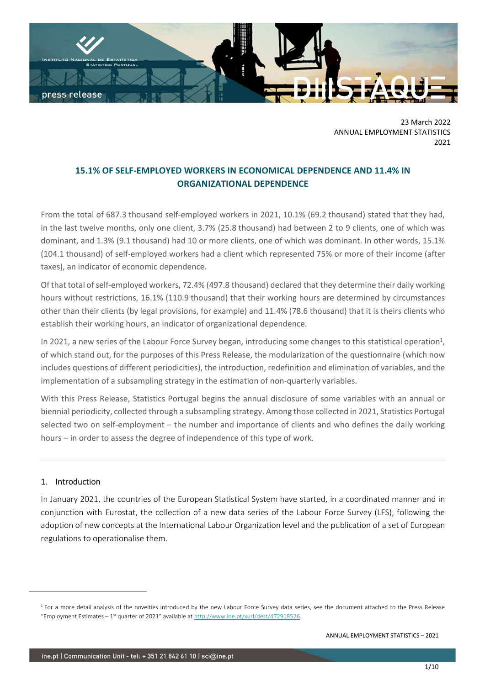

23 March 2022 ANNUAL EMPLOYMENT STATISTICS 2021

# 15.1% OF SELF-EMPLOYED WORKERS IN ECONOMICAL DEPENDENCE AND 11.4% IN ORGANIZATIONAL DEPENDENCE

From the total of 687.3 thousand self-employed workers in 2021, 10.1% (69.2 thousand) stated that they had, in the last twelve months, only one client, 3.7% (25.8 thousand) had between 2 to 9 clients, one of which was dominant, and 1.3% (9.1 thousand) had 10 or more clients, one of which was dominant. In other words, 15.1% (104.1 thousand) of self-employed workers had a client which represented 75% or more of their income (after taxes), an indicator of economic dependence.

Of that total of self-employed workers, 72.4% (497.8 thousand) declared that they determine their daily working hours without restrictions, 16.1% (110.9 thousand) that their working hours are determined by circumstances other than their clients (by legal provisions, for example) and 11.4% (78.6 thousand) that it is theirs clients who establish their working hours, an indicator of organizational dependence.

In 2021, a new series of the Labour Force Survey began, introducing some changes to this statistical operation<sup>1</sup>, of which stand out, for the purposes of this Press Release, the modularization of the questionnaire (which now includes questions of different periodicities), the introduction, redefinition and elimination of variables, and the implementation of a subsampling strategy in the estimation of non-quarterly variables.

With this Press Release, Statistics Portugal begins the annual disclosure of some variables with an annual or biennial periodicity, collected through a subsampling strategy. Among those collected in 2021, Statistics Portugal selected two on self-employment – the number and importance of clients and who defines the daily working hours – in order to assess the degree of independence of this type of work.

## 1. Introduction

In January 2021, the countries of the European Statistical System have started, in a coordinated manner and in conjunction with Eurostat, the collection of a new data series of the Labour Force Survey (LFS), following the adoption of new concepts at the International Labour Organization level and the publication of a set of European regulations to operationalise them.

<sup>&</sup>lt;sup>1</sup> For a more detail analysis of the novelties introduced by the new Labour Force Survey data series, see the document attached to the Press Release "Employment Estimates – 1st quarter of 2021" available at http://www.ine.pt/xurl/dest/472918526.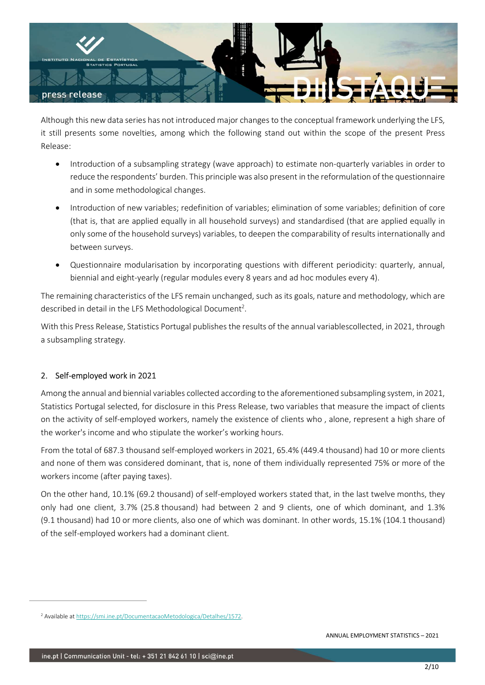

Although this new data series has not introduced major changes to the conceptual framework underlying the LFS, it still presents some novelties, among which the following stand out within the scope of the present Press Release:

- Introduction of a subsampling strategy (wave approach) to estimate non-quarterly variables in order to reduce the respondents' burden. This principle was also present in the reformulation of the questionnaire and in some methodological changes.
- Introduction of new variables; redefinition of variables; elimination of some variables; definition of core (that is, that are applied equally in all household surveys) and standardised (that are applied equally in only some of the household surveys) variables, to deepen the comparability of results internationally and between surveys.
- Questionnaire modularisation by incorporating questions with different periodicity: quarterly, annual, biennial and eight-yearly (regular modules every 8 years and ad hoc modules every 4).

The remaining characteristics of the LFS remain unchanged, such as its goals, nature and methodology, which are described in detail in the LFS Methodological Document<sup>2</sup>.

With this Press Release, Statistics Portugal publishes the results of the annual variablescollected, in 2021, through a subsampling strategy.

# 2. Self-employed work in 2021

Among the annual and biennial variables collected according to the aforementioned subsampling system, in 2021, Statistics Portugal selected, for disclosure in this Press Release, two variables that measure the impact of clients on the activity of self-employed workers, namely the existence of clients who , alone, represent a high share of the worker's income and who stipulate the worker's working hours.

From the total of 687.3 thousand self-employed workers in 2021, 65.4% (449.4 thousand) had 10 or more clients and none of them was considered dominant, that is, none of them individually represented 75% or more of the workers income (after paying taxes).

On the other hand, 10.1% (69.2 thousand) of self-employed workers stated that, in the last twelve months, they only had one client, 3.7% (25.8 thousand) had between 2 and 9 clients, one of which dominant, and 1.3% (9.1 thousand) had 10 or more clients, also one of which was dominant. In other words, 15.1% (104.1 thousand) of the self-employed workers had a dominant client.

<sup>&</sup>lt;sup>2</sup> Available at https://smi.ine.pt/DocumentacaoMetodologica/Detalhes/1572.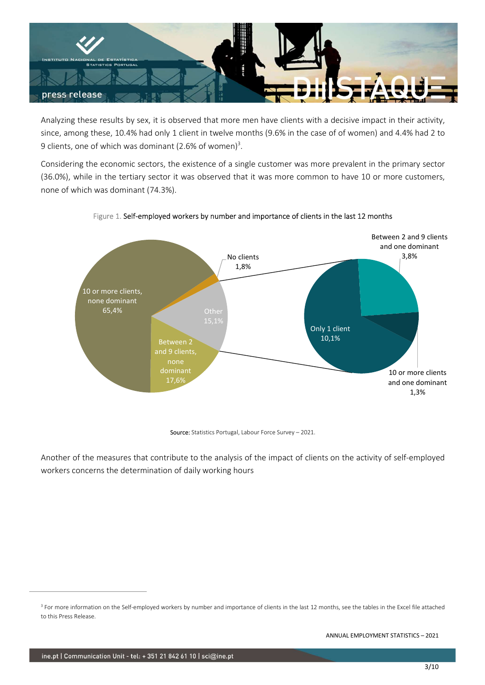

Analyzing these results by sex, it is observed that more men have clients with a decisive impact in their activity, since, among these, 10.4% had only 1 client in twelve months (9.6% in the case of of women) and 4.4% had 2 to 9 clients, one of which was dominant (2.6% of women)<sup>3</sup>.

Considering the economic sectors, the existence of a single customer was more prevalent in the primary sector (36.0%), while in the tertiary sector it was observed that it was more common to have 10 or more customers, none of which was dominant (74.3%).



### Figure 1. Self-employed workers by number and importance of clients in the last 12 months

Source: Statistics Portugal, Labour Force Survey - 2021.

Another of the measures that contribute to the analysis of the impact of clients on the activity of self-employed workers concerns the determination of daily working hours

<sup>&</sup>lt;sup>3</sup> For more information on the Self-employed workers by number and importance of clients in the last 12 months, see the tables in the Excel file attached to this Press Release.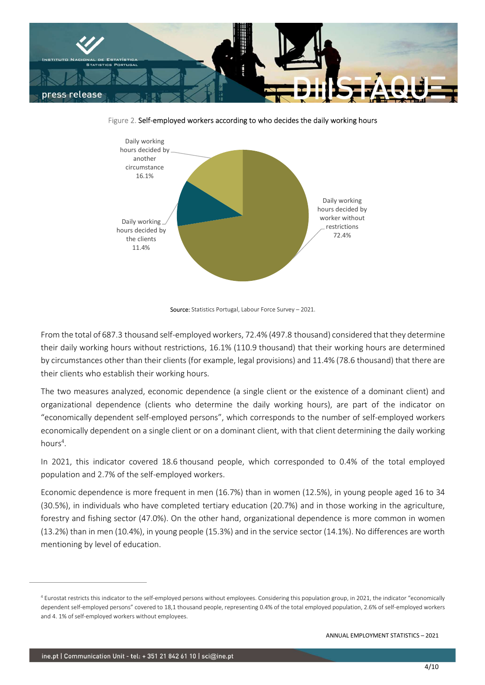

Figure 2. Self-employed workers according to who decides the daily working hours



Source: Statistics Portugal, Labour Force Survey - 2021.

From the total of 687.3 thousand self-employed workers, 72.4% (497.8 thousand) considered that they determine their daily working hours without restrictions, 16.1% (110.9 thousand) that their working hours are determined by circumstances other than their clients (for example, legal provisions) and 11.4% (78.6 thousand) that there are their clients who establish their working hours.

The two measures analyzed, economic dependence (a single client or the existence of a dominant client) and organizational dependence (clients who determine the daily working hours), are part of the indicator on "economically dependent self-employed persons", which corresponds to the number of self-employed workers economically dependent on a single client or on a dominant client, with that client determining the daily working hours<sup>4</sup>.

In 2021, this indicator covered 18.6 thousand people, which corresponded to 0.4% of the total employed population and 2.7% of the self-employed workers.

Economic dependence is more frequent in men (16.7%) than in women (12.5%), in young people aged 16 to 34 (30.5%), in individuals who have completed tertiary education (20.7%) and in those working in the agriculture, forestry and fishing sector (47.0%). On the other hand, organizational dependence is more common in women (13.2%) than in men (10.4%), in young people (15.3%) and in the service sector (14.1%). No differences are worth mentioning by level of education.

<sup>4</sup> Eurostat restricts this indicator to the self-employed persons without employees. Considering this population group, in 2021, the indicator "economically dependent self-employed persons" covered to 18,1 thousand people, representing 0.4% of the total employed population, 2.6% of self-employed workers and 4. 1% of self-employed workers without employees.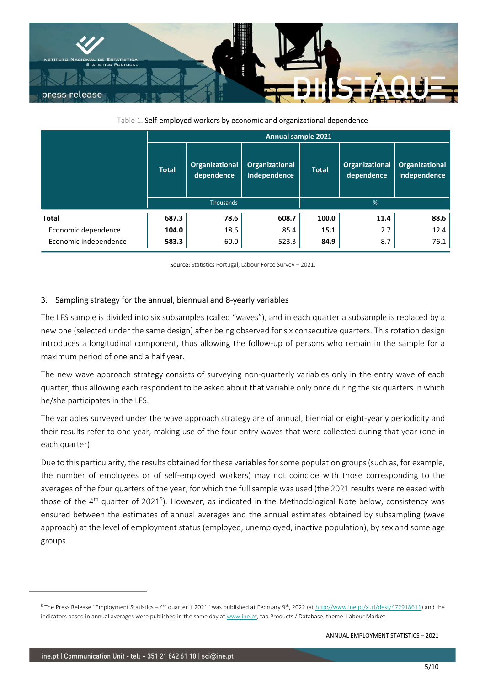

Table 1. Self-employed workers by economic and organizational dependence

| <b>INSTITUTO NACIONAL DE ESTATÍSTICA</b><br><b>STATISTICS PORTUGAL</b>                                                                                                  |
|-------------------------------------------------------------------------------------------------------------------------------------------------------------------------|
|                                                                                                                                                                         |
|                                                                                                                                                                         |
| press release                                                                                                                                                           |
|                                                                                                                                                                         |
| Table 1. Self-employed workers by economic and organizational dependence                                                                                                |
| Annual sample 2021                                                                                                                                                      |
| Organizational<br><b>Organizational</b><br>Organizational<br>Organizational<br><b>Total</b><br><b>Total</b><br>dependence<br>independence<br>dependence<br>independence |
| $\%$<br>Thousands                                                                                                                                                       |
| 687.3<br>608.7<br>100.0<br>11.4<br>78.6<br>88.6<br><b>Total</b>                                                                                                         |
| Economic dependence<br>18.6<br>15.1<br>2.7<br>104.0<br>85.4<br>12.4                                                                                                     |
| Economic independence<br>583.3<br>60.0<br>523.3<br>84.9<br>8.7<br>76.1                                                                                                  |

## 3. Sampling strategy for the annual, biennual and 8-yearly variables

The LFS sample is divided into six subsamples (called "waves"), and in each quarter a subsample is replaced by a new one (selected under the same design) after being observed for six consecutive quarters. This rotation design introduces a longitudinal component, thus allowing the follow-up of persons who remain in the sample for a maximum period of one and a half year.

The new wave approach strategy consists of surveying non-quarterly variables only in the entry wave of each quarter, thus allowing each respondent to be asked about that variable only once during the six quarters in which he/she participates in the LFS.

The variables surveyed under the wave approach strategy are of annual, biennial or eight-yearly periodicity and their results refer to one year, making use of the four entry waves that were collected during that year (one in each quarter).

Due to this particularity, the results obtained for these variables for some population groups (such as, for example, the number of employees or of self-employed workers) may not coincide with those corresponding to the averages of the four quarters of the year, for which the full sample was used (the 2021 results were released with those of the 4<sup>th</sup> quarter of 2021<sup>5</sup>). However, as indicated in the Methodological Note below, consistency was ensured between the estimates of annual averages and the annual estimates obtained by subsampling (wave approach) at the level of employment status (employed, unemployed, inactive population), by sex and some age groups.

<sup>&</sup>lt;sup>5</sup> The Press Release "Employment Statistics – 4<sup>th</sup> quarter if 2021" was published at February 9<sup>th</sup>, 2022 (at http://www.ine.pt/xurl/dest/472918611) and the indicators based in annual averages were published in the same day at www.ine.pt, tab Products / Database, theme: Labour Market.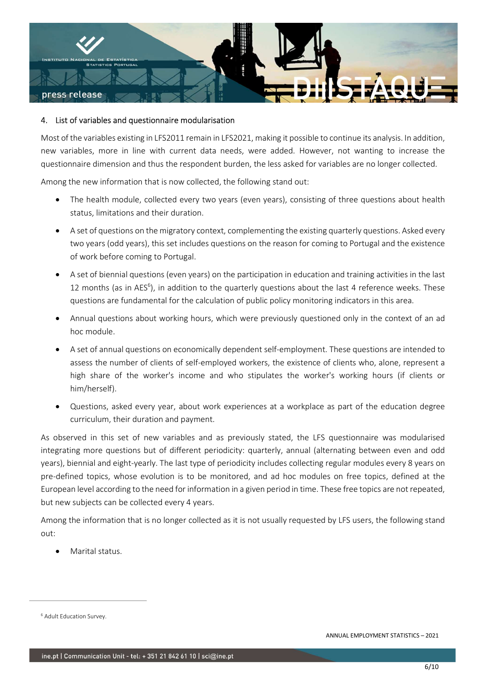

### 4. List of variables and questionnaire modularisation

Most of the variables existing in LFS2011 remain in LFS2021, making it possible to continue its analysis. In addition, new variables, more in line with current data needs, were added. However, not wanting to increase the questionnaire dimension and thus the respondent burden, the less asked for variables are no longer collected.

Among the new information that is now collected, the following stand out:

- The health module, collected every two years (even years), consisting of three questions about health status, limitations and their duration.
- A set of questions on the migratory context, complementing the existing quarterly questions. Asked every two years (odd years), this set includes questions on the reason for coming to Portugal and the existence of work before coming to Portugal.
- A set of biennial questions (even years) on the participation in education and training activities in the last 12 months (as in AES<sup>6</sup>), in addition to the quarterly questions about the last 4 reference weeks. These questions are fundamental for the calculation of public policy monitoring indicators in this area.
- Annual questions about working hours, which were previously questioned only in the context of an ad hoc module.
- A set of annual questions on economically dependent self-employment. These questions are intended to assess the number of clients of self-employed workers, the existence of clients who, alone, represent a high share of the worker's income and who stipulates the worker's working hours (if clients or him/herself).
- Questions, asked every year, about work experiences at a workplace as part of the education degree curriculum, their duration and payment.

As observed in this set of new variables and as previously stated, the LFS questionnaire was modularised integrating more questions but of different periodicity: quarterly, annual (alternating between even and odd years), biennial and eight-yearly. The last type of periodicity includes collecting regular modules every 8 years on pre-defined topics, whose evolution is to be monitored, and ad hoc modules on free topics, defined at the European level according to the need for information in a given period in time. These free topics are not repeated, but new subjects can be collected every 4 years.

Among the information that is no longer collected as it is not usually requested by LFS users, the following stand out:

Marital status.

<sup>6</sup> Adult Education Survey.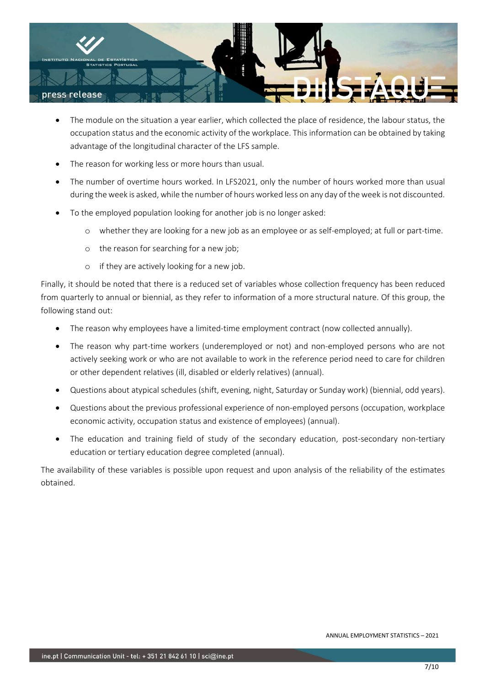

- The module on the situation a year earlier, which collected the place of residence, the labour status, the occupation status and the economic activity of the workplace. This information can be obtained by taking advantage of the longitudinal character of the LFS sample.
- The reason for working less or more hours than usual.
- The number of overtime hours worked. In LFS2021, only the number of hours worked more than usual during the week is asked, while the number of hours worked less on any day of the week is not discounted.
- To the employed population looking for another job is no longer asked:
	- o whether they are looking for a new job as an employee or as self-employed; at full or part-time.
	- o the reason for searching for a new job;
	- o if they are actively looking for a new job.

Finally, it should be noted that there is a reduced set of variables whose collection frequency has been reduced from quarterly to annual or biennial, as they refer to information of a more structural nature. Of this group, the following stand out:

- The reason why employees have a limited-time employment contract (now collected annually).
- The reason why part-time workers (underemployed or not) and non-employed persons who are not actively seeking work or who are not available to work in the reference period need to care for children or other dependent relatives (ill, disabled or elderly relatives) (annual).
- Questions about atypical schedules (shift, evening, night, Saturday or Sunday work) (biennial, odd years).
- Questions about the previous professional experience of non-employed persons (occupation, workplace economic activity, occupation status and existence of employees) (annual).
- The education and training field of study of the secondary education, post-secondary non-tertiary education or tertiary education degree completed (annual).

The availability of these variables is possible upon request and upon analysis of the reliability of the estimates obtained.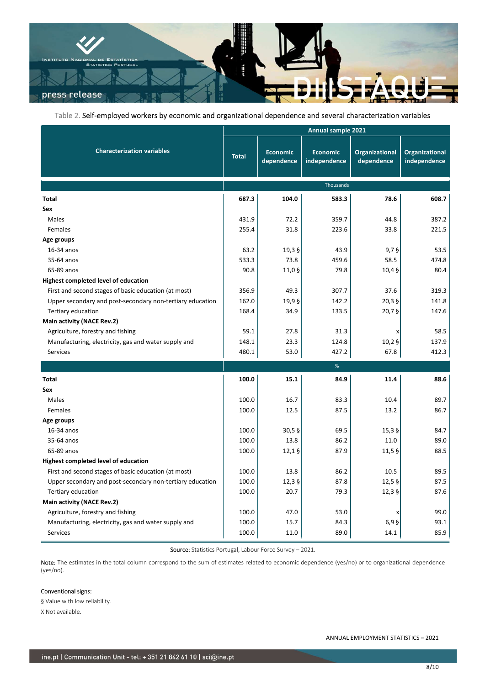

#### Table 2. Self-employed workers by economic and organizational dependence and several characterization variables

|                                                           | Table 2. Self-employed workers by economic and organizational dependence and several characterization variables<br>Annual sample 2021 |                               |                                 |                              |                                |
|-----------------------------------------------------------|---------------------------------------------------------------------------------------------------------------------------------------|-------------------------------|---------------------------------|------------------------------|--------------------------------|
| <b>Characterization variables</b>                         | <b>Total</b>                                                                                                                          | <b>Economic</b><br>dependence | <b>Economic</b><br>independence | Organizational<br>dependence | Organizational<br>independence |
|                                                           |                                                                                                                                       |                               | Thousands                       |                              |                                |
| <b>Total</b>                                              | 687.3                                                                                                                                 | 104.0                         | 583.3                           | 78.6                         | 608.7                          |
| Sex                                                       |                                                                                                                                       |                               |                                 |                              |                                |
| Males                                                     | 431.9                                                                                                                                 | 72.2                          | 359.7                           | 44.8                         | 387.2                          |
| Females                                                   | 255.4                                                                                                                                 | 31.8                          | 223.6                           | 33.8                         | 221.5                          |
| Age groups                                                |                                                                                                                                       |                               |                                 |                              |                                |
| 16-34 anos                                                | 63.2                                                                                                                                  | $19,3$ §                      | 43.9                            | 9,75                         | 53.5                           |
| 35-64 anos                                                | 533.3                                                                                                                                 | 73.8                          | 459.6                           | 58.5                         | 474.8                          |
| 65-89 anos                                                | 90.8                                                                                                                                  | $11,0$ §                      | 79.8                            | 10,45                        | 80.4                           |
| Highest completed level of education                      |                                                                                                                                       |                               |                                 |                              |                                |
| First and second stages of basic education (at most)      | 356.9                                                                                                                                 | 49.3                          | 307.7                           | 37.6                         | 319.3                          |
| Upper secondary and post-secondary non-tertiary education | 162.0                                                                                                                                 | 19,95                         | 142.2                           | $20,3$ §                     | 141.8                          |
| Tertiary education                                        | 168.4                                                                                                                                 | 34.9                          | 133.5                           | $20,7$ §                     | 147.6                          |
| Main activity (NACE Rev.2)                                |                                                                                                                                       |                               |                                 |                              |                                |
| Agriculture, forestry and fishing                         | 59.1                                                                                                                                  | 27.8                          | 31.3                            |                              | 58.5                           |
| Manufacturing, electricity, gas and water supply and      | 148.1                                                                                                                                 | 23.3                          | 124.8                           | $10,2$ §                     | 137.9                          |
| Services                                                  | 480.1                                                                                                                                 | 53.0                          | 427.2                           | 67.8                         | 412.3                          |
|                                                           |                                                                                                                                       |                               | %                               |                              |                                |
| <b>Total</b>                                              | 100.0                                                                                                                                 | 15.1                          | 84.9                            | 11.4                         | 88.6                           |
| Sex                                                       |                                                                                                                                       |                               |                                 |                              |                                |
| Males                                                     | 100.0                                                                                                                                 | 16.7                          | 83.3                            | 10.4                         | 89.7                           |
| Females                                                   | 100.0                                                                                                                                 | 12.5                          | 87.5                            | 13.2                         | 86.7                           |
| Age groups                                                |                                                                                                                                       |                               |                                 |                              |                                |
| 16-34 anos                                                | 100.0                                                                                                                                 | 30,55                         | 69.5                            | $15,3$ §                     | 84.7                           |
| 35-64 anos                                                | 100.0                                                                                                                                 | 13.8                          | 86.2                            | 11.0                         | 89.0                           |
| 65-89 anos                                                | 100.0                                                                                                                                 | $12,1$ §                      | 87.9                            | 11,55                        | 88.5                           |
| Highest completed level of education                      |                                                                                                                                       |                               |                                 |                              |                                |
| First and second stages of basic education (at most)      | 100.0                                                                                                                                 | 13.8                          | 86.2                            | 10.5                         | 89.5                           |
| Upper secondary and post-secondary non-tertiary education | 100.0                                                                                                                                 | 12,39                         | 87.8                            | $12,5$ §                     | 87.5                           |
| Tertiary education                                        | 100.0                                                                                                                                 | 20.7                          | 79.3                            | $12,3$ §                     | 87.6                           |
| Main activity (NACE Rev.2)                                |                                                                                                                                       |                               |                                 |                              |                                |
|                                                           |                                                                                                                                       |                               |                                 |                              |                                |
| Agriculture, forestry and fishing                         | 100.0                                                                                                                                 | 47.0                          | 53.0                            |                              | 99.0                           |
| Manufacturing, electricity, gas and water supply and      | 100.0                                                                                                                                 | 15.7                          | 84.3                            | 6,95                         | 93.1                           |
| Services                                                  | 100.0                                                                                                                                 | 11.0                          | 89.0                            | 14.1                         | 85.9                           |

#### Conventional signs:

§ Value with low reliability. X Not available.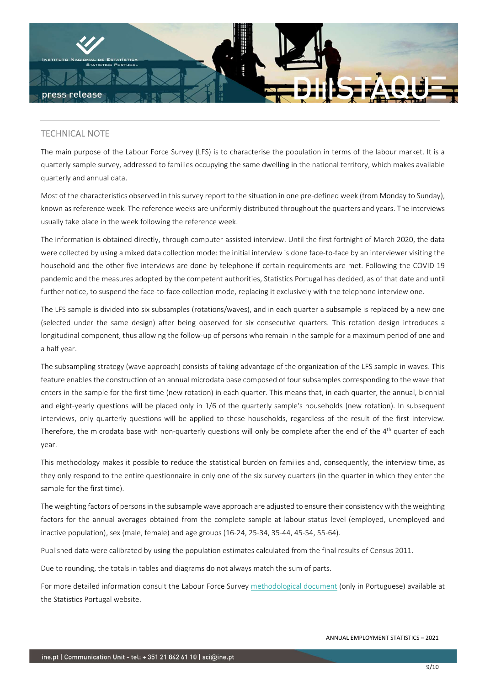

# TECHNICAL NOTE

The main purpose of the Labour Force Survey (LFS) is to characterise the population in terms of the labour market. It is a quarterly sample survey, addressed to families occupying the same dwelling in the national territory, which makes available quarterly and annual data.

Most of the characteristics observed in this survey report to the situation in one pre-defined week (from Monday to Sunday), known as reference week. The reference weeks are uniformly distributed throughout the quarters and years. The interviews usually take place in the week following the reference week.

The information is obtained directly, through computer-assisted interview. Until the first fortnight of March 2020, the data were collected by using a mixed data collection mode: the initial interview is done face-to-face by an interviewer visiting the household and the other five interviews are done by telephone if certain requirements are met. Following the COVID-19 pandemic and the measures adopted by the competent authorities, Statistics Portugal has decided, as of that date and until further notice, to suspend the face-to-face collection mode, replacing it exclusively with the telephone interview one.

The LFS sample is divided into six subsamples (rotations/waves), and in each quarter a subsample is replaced by a new one (selected under the same design) after being observed for six consecutive quarters. This rotation design introduces a longitudinal component, thus allowing the follow-up of persons who remain in the sample for a maximum period of one and a half year.

The subsampling strategy (wave approach) consists of taking advantage of the organization of the LFS sample in waves. This feature enables the construction of an annual microdata base composed of four subsamples corresponding to the wave that enters in the sample for the first time (new rotation) in each quarter. This means that, in each quarter, the annual, biennial and eight-yearly questions will be placed only in 1/6 of the quarterly sample's households (new rotation). In subsequent interviews, only quarterly questions will be applied to these households, regardless of the result of the first interview. Therefore, the microdata base with non-quarterly questions will only be complete after the end of the 4<sup>th</sup> quarter of each year.

This methodology makes it possible to reduce the statistical burden on families and, consequently, the interview time, as they only respond to the entire questionnaire in only one of the six survey quarters (in the quarter in which they enter the sample for the first time).

The weighting factors of persons in the subsample wave approach are adjusted to ensure their consistency with the weighting factors for the annual averages obtained from the complete sample at labour status level (employed, unemployed and inactive population), sex (male, female) and age groups (16-24, 25-34, 35-44, 45-54, 55-64).

Published data were calibrated by using the population estimates calculated from the final results of Census 2011.

Due to rounding, the totals in tables and diagrams do not always match the sum of parts.

For more detailed information consult the Labour Force Survey methodological document (only in Portuguese) available at the Statistics Portugal website.